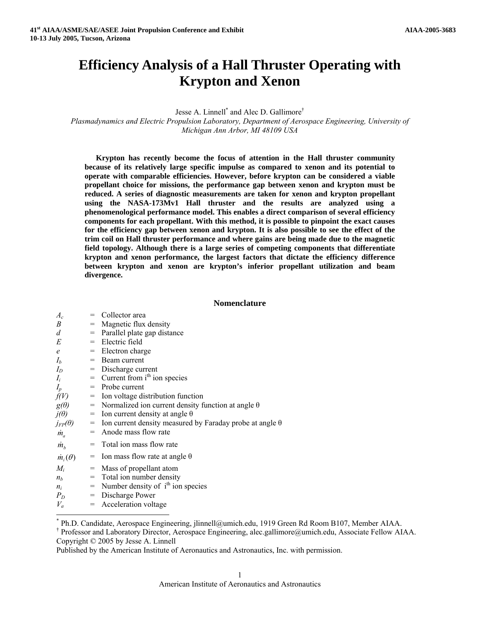# **Efficiency Analysis of a Hall Thruster Operating with Krypton and Xenon**

Jesse A. Linnell<sup>[\\*](#page-0-0)</sup> and Alec D. Gallimore<sup>[†](#page-0-1)</sup>

*Plasmadynamics and Electric Propulsion Laboratory, Department of Aerospace Engineering, University of Michigan Ann Arbor, MI 48109 USA* 

**Krypton has recently become the focus of attention in the Hall thruster community because of its relatively large specific impulse as compared to xenon and its potential to operate with comparable efficiencies. However, before krypton can be considered a viable propellant choice for missions, the performance gap between xenon and krypton must be reduced. A series of diagnostic measurements are taken for xenon and krypton propellant using the NASA-173Mv1 Hall thruster and the results are analyzed using a phenomenological performance model. This enables a direct comparison of several efficiency components for each propellant. With this method, it is possible to pinpoint the exact causes for the efficiency gap between xenon and krypton. It is also possible to see the effect of the trim coil on Hall thruster performance and where gains are being made due to the magnetic field topology. Although there is a large series of competing components that differentiate krypton and xenon performance, the largest factors that dictate the efficiency difference between krypton and xenon are krypton's inferior propellant utilization and beam divergence.** 

# **Nomenclature**

| $A_c$               | $=$ | Collector area                                                      |
|---------------------|-----|---------------------------------------------------------------------|
| $\boldsymbol{B}$    |     | Magnetic flux density                                               |
| $\overline{d}$      |     | $=$ Parallel plate gap distance                                     |
| Е                   | $=$ | Electric field                                                      |
| $\epsilon$          |     | $=$ Electron charge                                                 |
| $I_b$               |     | $=$ Beam current                                                    |
| $I_D$               |     | $=$ Discharge current                                               |
| $I_i$               |     | $=$ Current from $ith$ ion species                                  |
| $I_p$               |     | $=$ Probe current                                                   |
| f(V)                | $=$ | Ion voltage distribution function                                   |
| $g(\theta)$         |     | $=$ Normalized ion current density function at angle $\theta$       |
| $j(\theta)$         | $=$ | Ion current density at angle $\theta$                               |
| $j_{FP}(\theta)$    |     | $=$ Ion current density measured by Faraday probe at angle $\theta$ |
| $m_a$               |     | $=$ Anode mass flow rate                                            |
| m <sub>b</sub>      | $=$ | Total ion mass flow rate                                            |
| $\dot{m}_i(\theta)$ |     | $=$ Ion mass flow rate at angle $\theta$                            |
| $M_i$               | $=$ | Mass of propellant atom                                             |
| n <sub>b</sub>      |     | = Total ion number density                                          |
| $n_i$               |     | $=$ Number density of $ith$ ion species                             |
| $P_D$               |     | $=$ Discharge Power                                                 |
| $V_a$               |     | $=$ Acceleration voltage                                            |

<span id="page-0-0"></span> <sup>\*</sup> Ph.D. Candidate, Aerospace Engineering, jlinnell@umich.edu, 1919 Green Rd Room B107, Member AIAA.

<span id="page-0-1"></span>† Professor and Laboratory Director, Aerospace Engineering, alec.gallimore@umich.edu, Associate Fellow AIAA. Copyright © 2005 by Jesse A. Linnell

Published by the American Institute of Aeronautics and Astronautics, Inc. with permission.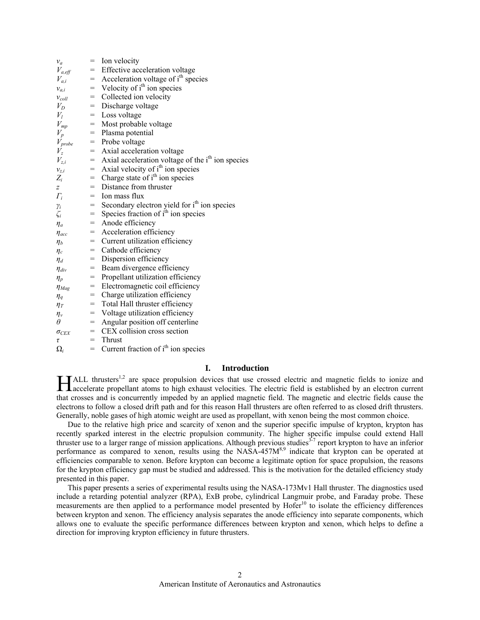| $v_a$                | $=$ | Ion velocity                                                  |
|----------------------|-----|---------------------------------------------------------------|
| $V_{\mathit{a,eff}}$ | $=$ | Effective acceleration voltage                                |
| $V_{a,i}$            | $=$ | Acceleration voltage of i <sup>th</sup> species               |
| $v_{a,i}$            |     | $=$ Velocity of $ith$ ion species                             |
| $v_{coll}$           | $=$ | Collected ion velocity                                        |
| $V_D$                | $=$ | Discharge voltage                                             |
| $V_I$                | $=$ | Loss voltage                                                  |
| $V_{mp}$             | =   | Most probable voltage                                         |
| $V_p$                | =   | Plasma potential                                              |
| $V_{probe}$          | =   | Probe voltage                                                 |
| $V_z$                | $=$ | Axial acceleration voltage                                    |
| $V_{z,i}$            | $=$ | Axial acceleration voltage of the i <sup>th</sup> ion species |
| $v_{z,i}$            | =   | Axial velocity of i <sup>th</sup> ion species                 |
| $Z_i$                | $=$ | Charge state of i <sup>th</sup> ion species                   |
| $\overline{z}$       | $=$ | Distance from thruster                                        |
| $\Gamma_i$           | $=$ | Ion mass flux                                                 |
| $\gamma_i$           | =   | Secondary electron yield for i <sup>th</sup> ion species      |
| $\zeta_i$            | $=$ | Species fraction of i <sup>th</sup> ion species               |
| $\eta_a$             | $=$ | Anode efficiency                                              |
| $\eta_{acc}$         | =   | Acceleration efficiency                                       |
| $\eta_b$             | $=$ | Current utilization efficiency                                |
| $\eta_c$             | $=$ | Cathode efficiency                                            |
| $\eta_d$             | $=$ | Dispersion efficiency                                         |
| $\eta_{div}$         | $=$ | Beam divergence efficiency                                    |
| $\eta_p$             | =   | Propellant utilization efficiency                             |
| $\eta_{Mag}$         | =   | Electromagnetic coil efficiency                               |
| $\eta_q$             | =   | Charge utilization efficiency                                 |
| $\eta_T$             | $=$ | Total Hall thruster efficiency                                |
| $\eta_v$             | =   | Voltage utilization efficiency                                |
| $\theta$             | $=$ | Angular position off centerline                               |
| $\sigma_{CEX}$       | $=$ | CEX collision cross section                                   |
| τ                    | $=$ | Thrust                                                        |
| $\Omega_i$           | $=$ | Current fraction of i <sup>th</sup> ion species               |

# **I. Introduction**

HALL thrusters<sup>1,2</sup> are space propulsion devices that use crossed electric and magnetic fields to ionize and accelerate propellant atoms to high exhaust velocities. The electric field is established by an electron current accelerate propellant atoms to high exhaust velocities. The electric field is established by an electron current that crosses and is concurrently impeded by an applied magnetic field. The magnetic and electric fields cause the electrons to follow a closed drift path and for this reason Hall thrusters are often referred to as closed drift thrusters. Generally, noble gases of high atomic weight are used as propellant, with xenon being the most common choice.

Due to the relative high price and scarcity of xenon and the superior specific impulse of krypton, krypton has recently sparked interest in the electric propulsion community. The higher specific impulse could extend Hall thruster use to a larger range of mission applications. Although previous studies<sup>3-7</sup> report krypton to have an inferior performance as compared to xenon, results using the NASA-457M<sup>8,9</sup> indicate that krypton can be operated at efficiencies comparable to xenon. Before krypton can become a legitimate option for space propulsion, the reasons for the krypton efficiency gap must be studied and addressed. This is the motivation for the detailed efficiency study presented in this paper.

This paper presents a series of experimental results using the NASA-173Mv1 Hall thruster. The diagnostics used include a retarding potential analyzer (RPA), ExB probe, cylindrical Langmuir probe, and Faraday probe. These measurements are then applied to a performance model presented by Hofer<sup>10</sup> to isolate the efficiency differences between krypton and xenon. The efficiency analysis separates the anode efficiency into separate components, which allows one to evaluate the specific performance differences between krypton and xenon, which helps to define a direction for improving krypton efficiency in future thrusters.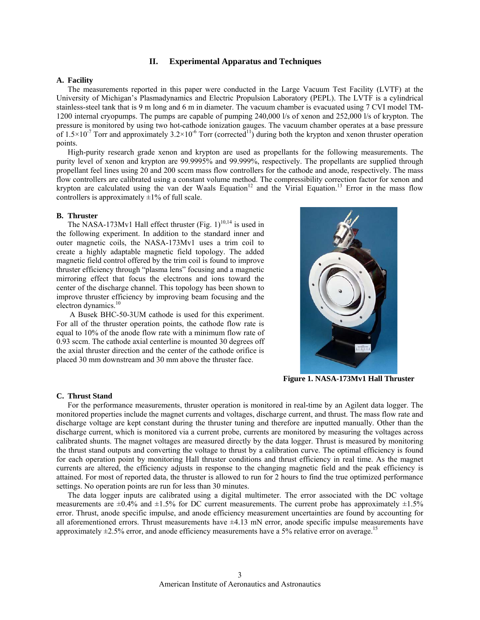# **II. Experimental Apparatus and Techniques**

#### **A. Facility**

The measurements reported in this paper were conducted in the Large Vacuum Test Facility (LVTF) at the University of Michigan's Plasmadynamics and Electric Propulsion Laboratory (PEPL). The LVTF is a cylindrical stainless-steel tank that is 9 m long and 6 m in diameter. The vacuum chamber is evacuated using 7 CVI model TM-1200 internal cryopumps. The pumps are capable of pumping 240,000 l/s of xenon and 252,000 l/s of krypton. The pressure is monitored by using two hot-cathode ionization gauges. The vacuum chamber operates at a base pressure of  $1.5\times10^{-7}$  Torr and approximately  $3.2\times10^{-6}$  Torr (corrected<sup>11</sup>) during both the krypton and xenon thruster operation points.

High-purity research grade xenon and krypton are used as propellants for the following measurements. The purity level of xenon and krypton are 99.9995% and 99.999%, respectively. The propellants are supplied through propellant feel lines using 20 and 200 sccm mass flow controllers for the cathode and anode, respectively. The mass flow controllers are calibrated using a constant volume method. The compressibility correction factor for xenon and krypton are calculated using the van der Waals Equation<sup>12</sup> and the Virial Equation.<sup>13</sup> Error in the mass flow controllers is approximately  $\pm 1\%$  of full scale.

## **B. Thruster**

The NASA-173Mv1 Hall effect thruster (Fig.  $1)^{10,14}$  is used in the following experiment. In addition to the standard inner and outer magnetic coils, the NASA-173Mv1 uses a trim coil to create a highly adaptable magnetic field topology. The added magnetic field control offered by the trim coil is found to improve thruster efficiency through "plasma lens" focusing and a magnetic mirroring effect that focus the electrons and ions toward the center of the discharge channel. This topology has been shown to improve thruster efficiency by improving beam focusing and the electron dynamics.<sup>10</sup>

A Busek BHC-50-3UM cathode is used for this experiment. For all of the thruster operation points, the cathode flow rate is equal to 10% of the anode flow rate with a minimum flow rate of 0.93 sccm. The cathode axial centerline is mounted 30 degrees off the axial thruster direction and the center of the cathode orifice is placed 30 mm downstream and 30 mm above the thruster face.



**Figure 1. NASA-173Mv1 Hall Thruster** 

# **C. Thrust Stand**

For the performance measurements, thruster operation is monitored in real-time by an Agilent data logger. The monitored properties include the magnet currents and voltages, discharge current, and thrust. The mass flow rate and discharge voltage are kept constant during the thruster tuning and therefore are inputted manually. Other than the discharge current, which is monitored via a current probe, currents are monitored by measuring the voltages across calibrated shunts. The magnet voltages are measured directly by the data logger. Thrust is measured by monitoring the thrust stand outputs and converting the voltage to thrust by a calibration curve. The optimal efficiency is found for each operation point by monitoring Hall thruster conditions and thrust efficiency in real time. As the magnet currents are altered, the efficiency adjusts in response to the changing magnetic field and the peak efficiency is attained. For most of reported data, the thruster is allowed to run for 2 hours to find the true optimized performance settings. No operation points are run for less than 30 minutes.

The data logger inputs are calibrated using a digital multimeter. The error associated with the DC voltage measurements are  $\pm 0.4\%$  and  $\pm 1.5\%$  for DC current measurements. The current probe has approximately  $\pm 1.5\%$ error. Thrust, anode specific impulse, and anode efficiency measurement uncertainties are found by accounting for all aforementioned errors. Thrust measurements have  $\pm 4.13$  mN error, anode specific impulse measurements have approximately  $\pm 2.5\%$  error, and anode efficiency measurements have a 5% relative error on average.<sup>15</sup>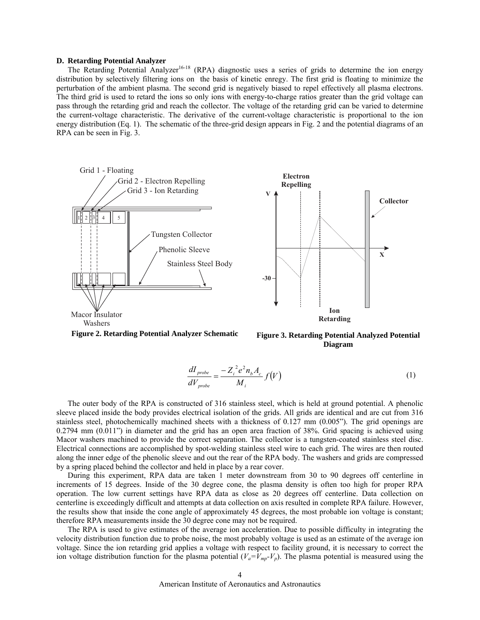#### **D. Retarding Potential Analyzer**

The Retarding Potential Analyzer<sup>16-18</sup> (RPA) diagnostic uses a series of grids to determine the ion energy distribution by selectively filtering ions on the basis of kinetic enregy. The first grid is floating to minimize the perturbation of the ambient plasma. The second grid is negatively biased to repel effectively all plasma electrons. The third grid is used to retard the ions so only ions with energy-to-charge ratios greater than the grid voltage can pass through the retarding grid and reach the collector. The voltage of the retarding grid can be varied to determine the current-voltage characteristic. The derivative of the current-voltage characteristic is proportional to the ion energy distribution (Eq. 1). The schematic of the three-grid design appears in Fig. 2 and the potential diagrams of an RPA can be seen in Fig. 3.



**Figure 2. Retarding Potential Analyzer Schematic** 

**Figure 3. Retarding Potential Analyzed Potential Diagram** 

$$
\frac{dI_{\text{probe}}}{dV_{\text{probe}}} = \frac{-Z_i^2 e^2 n_b A_c}{M_i} f(V) \tag{1}
$$

The outer body of the RPA is constructed of 316 stainless steel, which is held at ground potential. A phenolic sleeve placed inside the body provides electrical isolation of the grids. All grids are identical and are cut from 316 stainless steel, photochemically machined sheets with a thickness of 0.127 mm (0.005"). The grid openings are 0.2794 mm (0.011") in diameter and the grid has an open area fraction of 38%. Grid spacing is achieved using Macor washers machined to provide the correct separation. The collector is a tungsten-coated stainless steel disc. Electrical connections are accomplished by spot-welding stainless steel wire to each grid. The wires are then routed along the inner edge of the phenolic sleeve and out the rear of the RPA body. The washers and grids are compressed by a spring placed behind the collector and held in place by a rear cover.

During this experiment, RPA data are taken 1 meter downstream from 30 to 90 degrees off centerline in increments of 15 degrees. Inside of the 30 degree cone, the plasma density is often too high for proper RPA operation. The low current settings have RPA data as close as 20 degrees off centerline. Data collection on centerline is exceedingly difficult and attempts at data collection on axis resulted in complete RPA failure. However, the results show that inside the cone angle of approximately 45 degrees, the most probable ion voltage is constant; therefore RPA measurements inside the 30 degree cone may not be required.

The RPA is used to give estimates of the average ion acceleration. Due to possible difficulty in integrating the velocity distribution function due to probe noise, the most probably voltage is used as an estimate of the average ion voltage. Since the ion retarding grid applies a voltage with respect to facility ground, it is necessary to correct the ion voltage distribution function for the plasma potential  $(V_a=V_{mp}-V_p)$ . The plasma potential is measured using the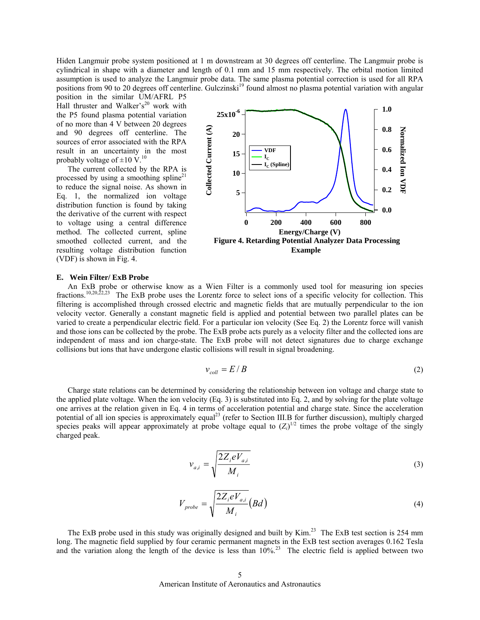Hiden Langmuir probe system positioned at 1 m downstream at 30 degrees off centerline. The Langmuir probe is cylindrical in shape with a diameter and length of 0.1 mm and 15 mm respectively. The orbital motion limited assumption is used to analyze the Langmuir probe data. The same plasma potential correction is used for all RPA positions from 90 to 20 degrees off centerline. Gulczinski<sup>19</sup> found almost no plasma potential variation with angular

position in the similar UM/AFRL P5 Hall thruster and Walker's<sup>20</sup> work with the P5 found plasma potential variation of no more than 4 V between 20 degrees and 90 degrees off centerline. The sources of error associated with the RPA result in an uncertainty in the most probably voltage of  $\pm 10 \text{ V}$ .<sup>10</sup>

The current collected by the RPA is processed by using a smoothing spline<sup>21</sup> to reduce the signal noise. As shown in Eq. 1, the normalized ion voltage distribution function is found by taking the derivative of the current with respect to voltage using a central difference method. The collected current, spline smoothed collected current, and the resulting voltage distribution function (VDF) is shown in Fig. 4.



#### **E. Wein Filter/ ExB Probe**

An ExB probe or otherwise know as a Wien Filter is a commonly used tool for measuring ion species fractions.<sup>10,20,22,23</sup> The ExB probe uses the Lorentz force to select ions of a specific velocity for collection. This filtering is accomplished through crossed electric and magnetic fields that are mutually perpendicular to the ion velocity vector. Generally a constant magnetic field is applied and potential between two parallel plates can be varied to create a perpendicular electric field. For a particular ion velocity (See Eq. 2) the Lorentz force will vanish and those ions can be collected by the probe. The ExB probe acts purely as a velocity filter and the collected ions are independent of mass and ion charge-state. The ExB probe will not detect signatures due to charge exchange collisions but ions that have undergone elastic collisions will result in signal broadening.

$$
v_{coll} = E/B \tag{2}
$$

Charge state relations can be determined by considering the relationship between ion voltage and charge state to the applied plate voltage. When the ion velocity  $(Eq. 3)$  is substituted into Eq. 2, and by solving for the plate voltage one arrives at the relation given in Eq. 4 in terms of acceleration potential and charge state. Since the acceleration potential of all ion species is approximately equal<sup>23</sup> (refer to Section III.B for further discussion), multiply charged species peaks will appear approximately at probe voltage equal to  $(Z_i)^{1/2}$  times the probe voltage of the singly charged peak.

$$
v_{a,i} = \sqrt{\frac{2Z_i eV_{a,i}}{M_i}}
$$
\n(3)

$$
V_{probe} = \sqrt{\frac{2Z_i eV_{a,i}}{M_i}} (Bd)
$$
 (4)

The ExB probe used in this study was originally designed and built by  $Kim.^23$  The ExB test section is 254 mm long. The magnetic field supplied by four ceramic permanent magnets in the ExB test section averages 0.162 Tesla and the variation along the length of the device is less than  $10\%$ <sup>23</sup> The electric field is applied between two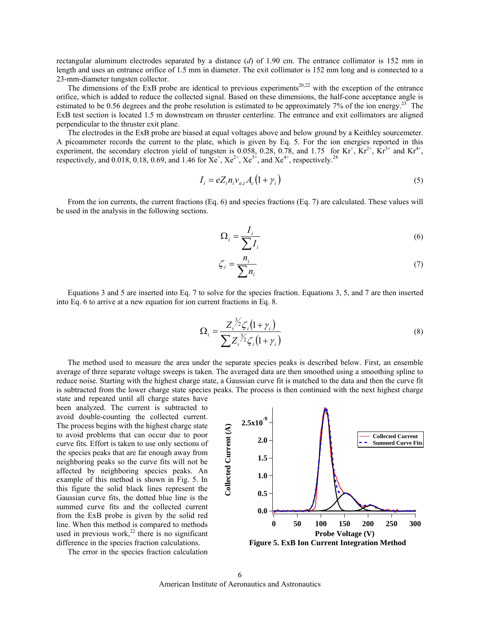rectangular aluminum electrodes separated by a distance (*d*) of 1.90 cm. The entrance collimator is 152 mm in length and uses an entrance orifice of 1.5 mm in diameter. The exit collimator is 152 mm long and is connected to a 23-mm-diameter tungsten collector.

The dimensions of the ExB probe are identical to previous experiments<sup>20,22</sup> with the exception of the entrance orifice, which is added to reduce the collected signal. Based on these dimensions, the half-cone acceptance angle is estimated to be 0.56 degrees and the probe resolution is estimated to be approximately 7% of the ion energy.<sup>23</sup> The ExB test section is located 1.5 m downstream on thruster centerline. The entrance and exit collimators are aligned perpendicular to the thruster exit plane.

The electrodes in the ExB probe are biased at equal voltages above and below ground by a Keithley sourcemeter. A picoammeter records the current to the plate, which is given by Eq. 5. For the ion energies reported in this experiment, the secondary electron yield of tungsten is 0.058, 0.28, 0.78, and 1.75 for Kr<sup>+</sup>, Kr<sup>2+</sup>, Kr<sup>3+</sup> and Kr<sup>4+</sup>, respectively, and 0.018, 0.18, 0.69, and 1.46 for  $Xe^{+}$ ,  $Xe^{2+}$ ,  $Xe^{3+}$ , and  $Xe^{4+}$ , respectively.<sup>24</sup>

$$
I_i = eZ_i n_i v_{a,i} A_c (1 + \gamma_i)
$$
\n<sup>(5)</sup>

From the ion currents, the current fractions (Eq. 6) and species fractions (Eq. 7) are calculated. These values will be used in the analysis in the following sections.

$$
\Omega_i = \frac{I_i}{\sum I_i} \tag{6}
$$

$$
\zeta_i = \frac{n_i}{\sum n_i} \tag{7}
$$

Equations 3 and 5 are inserted into Eq. 7 to solve for the species fraction. Equations 3, 5, and 7 are then inserted into Eq. 6 to arrive at a new equation for ion current fractions in Eq. 8.

$$
\Omega_i = \frac{Z_i^{\frac{3}{2}} \zeta_i (1 + \gamma_i)}{\sum Z_i^{\frac{3}{2}} \zeta_i (1 + \gamma_i)}
$$
\n(8)

The method used to measure the area under the separate species peaks is described below. First, an ensemble average of three separate voltage sweeps is taken. The averaged data are then smoothed using a smoothing spline to reduce noise. Starting with the highest charge state, a Gaussian curve fit is matched to the data and then the curve fit is subtracted from the lower charge state species peaks. The process is then continued with the next highest charge

state and repeated until all charge states have been analyzed. The current is subtracted to avoid double-counting the collected current. The process begins with the highest charge state to avoid problems that can occur due to poor curve fits. Effort is taken to use only sections of the species peaks that are far enough away from neighboring peaks so the curve fits will not be affected by neighboring species peaks. An example of this method is shown in Fig. 5. In this figure the solid black lines represent the Gaussian curve fits, the dotted blue line is the summed curve fits and the collected current from the ExB probe is given by the solid red line. When this method is compared to methods used in previous work, $^{22}$  there is no significant difference in the species fraction calculations.

The error in the species fraction calculation



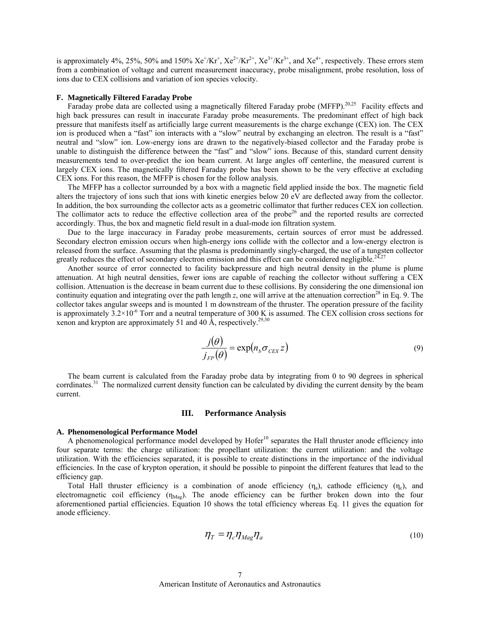is approximately 4%, 25%, 50% and 150%  $Xe^+/Kr^+$ ,  $Xe^{2+/Kr^2+}$ ,  $Xe^{3+/Kr^3+}$ , and  $Xe^{4+}$ , respectively. These errors stem from a combination of voltage and current measurement inaccuracy, probe misalignment, probe resolution, loss of ions due to CEX collisions and variation of ion species velocity.

## **F. Magnetically Filtered Faraday Probe**

Faraday probe data are collected using a magnetically filtered Faraday probe (MFFP).<sup>20,25</sup> Facility effects and high back pressures can result in inaccurate Faraday probe measurements. The predominant effect of high back pressure that manifests itself as artificially large current measurements is the charge exchange (CEX) ion. The CEX ion is produced when a "fast" ion interacts with a "slow" neutral by exchanging an electron. The result is a "fast" neutral and "slow" ion. Low-energy ions are drawn to the negatively-biased collector and the Faraday probe is unable to distinguish the difference between the "fast" and "slow" ions. Because of this, standard current density measurements tend to over-predict the ion beam current. At large angles off centerline, the measured current is largely CEX ions. The magnetically filtered Faraday probe has been shown to be the very effective at excluding CEX ions. For this reason, the MFFP is chosen for the follow analysis.

The MFFP has a collector surrounded by a box with a magnetic field applied inside the box. The magnetic field alters the trajectory of ions such that ions with kinetic energies below 20 eV are deflected away from the collector. In addition, the box surrounding the collector acts as a geometric collimator that further reduces CEX ion collection. The collimator acts to reduce the effective collection area of the probe<sup>26</sup> and the reported results are corrected accordingly. Thus, the box and magnetic field result in a dual-mode ion filtration system.

Due to the large inaccuracy in Faraday probe measurements, certain sources of error must be addressed. Secondary electron emission occurs when high-energy ions collide with the collector and a low-energy electron is released from the surface. Assuming that the plasma is predominantly singly-charged, the use of a tungsten collector greatly reduces the effect of secondary electron emission and this effect can be considered negligible.<sup>24,27</sup>

Another source of error connected to facility backpressure and high neutral density in the plume is plume attenuation. At high neutral densities, fewer ions are capable of reaching the collector without suffering a CEX collision. Attenuation is the decrease in beam current due to these collisions. By considering the one dimensional ion continuity equation and integrating over the path length  $z$ , one will arrive at the attenuation correction<sup>28</sup> in Eq. 9. The collector takes angular sweeps and is mounted 1 m downstream of the thruster. The operation pressure of the facility is approximately  $3.2 \times 10^{-6}$  Torr and a neutral temperature of 300 K is assumed. The CEX collision cross sections for xenon and krypton are approximately 51 and 40 Å, respectively.<sup>29,30</sup>

$$
\frac{j(\theta)}{j_{FP}(\theta)} = \exp(n_b \sigma_{CEX} z)
$$
\n(9)

The beam current is calculated from the Faraday probe data by integrating from 0 to 90 degrees in spherical corrdinates.<sup>31</sup> The normalized current density function can be calculated by dividing the current density by the beam current.

# **III. Performance Analysis**

# **A. Phenomenological Performance Model**

A phenomenological performance model developed by Hofer<sup>10</sup> separates the Hall thruster anode efficiency into four separate terms: the charge utilization: the propellant utilization: the current utilization: and the voltage utilization. With the efficiencies separated, it is possible to create distinctions in the importance of the individual efficiencies. In the case of krypton operation, it should be possible to pinpoint the different features that lead to the efficiency gap.

Total Hall thruster efficiency is a combination of anode efficiency  $(\eta_a)$ , cathode efficiency  $(\eta_c)$ , and electromagnetic coil efficiency  $(\eta_{\text{Mag}})$ . The anode efficiency can be further broken down into the four aforementioned partial efficiencies. Equation 10 shows the total efficiency whereas Eq. 11 gives the equation for anode efficiency.

$$
\eta_T = \eta_c \eta_{Mag} \eta_a \tag{10}
$$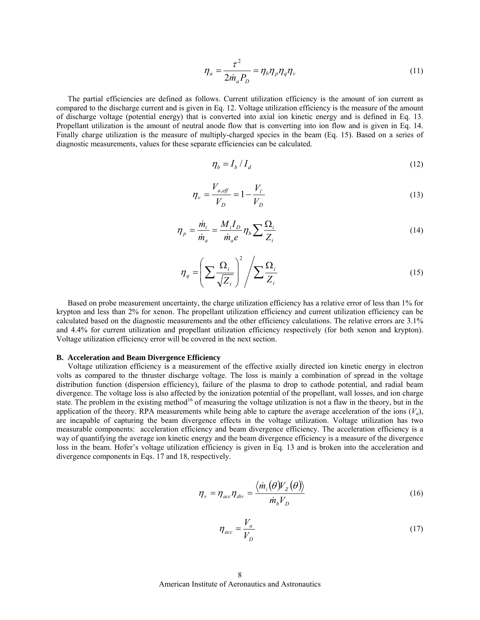$$
\eta_a = \frac{\tau^2}{2m_a P_D} = \eta_b \eta_p \eta_q \eta_v \tag{11}
$$

The partial efficiencies are defined as follows. Current utilization efficiency is the amount of ion current as compared to the discharge current and is given in Eq. 12. Voltage utilization efficiency is the measure of the amount of discharge voltage (potential energy) that is converted into axial ion kinetic energy and is defined in Eq. 13. Propellant utilization is the amount of neutral anode flow that is converting into ion flow and is given in Eq. 14. Finally charge utilization is the measure of multiply-charged species in the beam (Eq. 15). Based on a series of diagnostic measurements, values for these separate efficiencies can be calculated.

$$
\eta_b = I_b / I_d \tag{12}
$$

$$
\eta_{\nu} = \frac{V_{a,eff}}{V_D} = 1 - \frac{V_I}{V_D}
$$
\n(13)

$$
\eta_p = \frac{\dot{m}_i}{\dot{m}_a} = \frac{M_i I_D}{\dot{m}_a e} \eta_b \sum \frac{\Omega_i}{Z_i}
$$
\n(14)

$$
\eta_q = \left(\sum \frac{\Omega_i}{\sqrt{Z_i}}\right)^2 / \sum \frac{\Omega_i}{Z_i}
$$
\n(15)

Based on probe measurement uncertainty, the charge utilization efficiency has a relative error of less than 1% for krypton and less than 2% for xenon. The propellant utilization efficiency and current utilization efficiency can be calculated based on the diagnostic measurements and the other efficiency calculations. The relative errors are 3.1% and 4.4% for current utilization and propellant utilization efficiency respectively (for both xenon and krypton). Voltage utilization efficiency error will be covered in the next section.

# **B. Acceleration and Beam Divergence Efficiency**

Voltage utilization efficiency is a measurement of the effective axially directed ion kinetic energy in electron volts as compared to the thruster discharge voltage. The loss is mainly a combination of spread in the voltage distribution function (dispersion efficiency), failure of the plasma to drop to cathode potential, and radial beam divergence. The voltage loss is also affected by the ionization potential of the propellant, wall losses, and ion charge state. The problem in the existing method<sup>16</sup> of measuring the voltage utilization is not a flaw in the theory, but in the application of the theory. RPA measurements while being able to capture the average acceleration of the ions  $(V_a)$ , are incapable of capturing the beam divergence effects in the voltage utilization. Voltage utilization has two measurable components: acceleration efficiency and beam divergence efficiency. The acceleration efficiency is a way of quantifying the average ion kinetic energy and the beam divergence efficiency is a measure of the divergence loss in the beam. Hofer's voltage utilization efficiency is given in Eq. 13 and is broken into the acceleration and divergence components in Eqs. 17 and 18, respectively.

$$
\eta_{\nu} = \eta_{acc} \eta_{div} = \frac{\langle \dot{m}_i(\theta) V_z(\theta) \rangle}{\dot{m}_b V_D}
$$
(16)

$$
\eta_{acc} = \frac{V_a}{V_D} \tag{17}
$$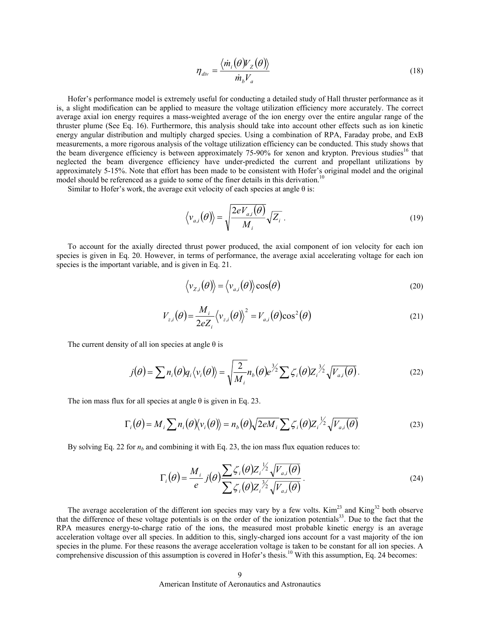$$
\eta_{div} = \frac{\langle \dot{m}_i(\theta) V_z(\theta) \rangle}{\dot{m}_b V_a}
$$
(18)

Hofer's performance model is extremely useful for conducting a detailed study of Hall thruster performance as it is, a slight modification can be applied to measure the voltage utilization efficiency more accurately. The correct average axial ion energy requires a mass-weighted average of the ion energy over the entire angular range of the thruster plume (See Eq. 16). Furthermore, this analysis should take into account other effects such as ion kinetic energy angular distribution and multiply charged species. Using a combination of RPA, Faraday probe, and ExB measurements, a more rigorous analysis of the voltage utilization efficiency can be conducted. This study shows that the beam divergence efficiency is between approximately 75-90% for xenon and krypton. Previous studies<sup>16</sup> that neglected the beam divergence efficiency have under-predicted the current and propellant utilizations by approximately 5-15%. Note that effort has been made to be consistent with Hofer's original model and the original model should be referenced as a guide to some of the finer details in this derivation.<sup>10</sup>

Similar to Hofer's work, the average exit velocity of each species at angle  $\theta$  is:

$$
\langle v_{a,i}(\theta) \rangle = \sqrt{\frac{2eV_{a,i}(\theta)}{M_i}} \sqrt{Z_i} \ . \tag{19}
$$

To account for the axially directed thrust power produced, the axial component of ion velocity for each ion species is given in Eq. 20. However, in terms of performance, the average axial accelerating voltage for each ion species is the important variable, and is given in Eq. 21.

$$
\langle v_{Z,i}(\theta) \rangle = \langle v_{a,i}(\theta) \rangle \cos(\theta)
$$
 (20)

$$
V_{z,i}(\theta) = \frac{M_i}{2eZ_i} \langle v_{z,i}(\theta) \rangle^2 = V_{a,i}(\theta) \cos^2(\theta)
$$
 (21)

The current density of all ion species at angle  $\theta$  is

$$
j(\theta) = \sum n_i(\theta) q_i \langle v_i(\theta) \rangle = \sqrt{\frac{2}{M_i}} n_b(\theta) e^{3/2} \sum \zeta_i(\theta) Z_i^{3/2} \sqrt{V_{a,i}(\theta)}.
$$
 (22)

The ion mass flux for all species at angle  $\theta$  is given in Eq. 23.

$$
\Gamma_i(\theta) = M_i \sum n_i(\theta) \langle v_i(\theta) \rangle = n_b(\theta) \sqrt{2eM_i} \sum \zeta_i(\theta) Z_i^{\frac{1}{2}} \sqrt{V_{a,i}(\theta)}
$$
(23)

By solving Eq. 22 for  $n_b$  and combining it with Eq. 23, the ion mass flux equation reduces to:

$$
\Gamma_i(\theta) = \frac{M_i}{e} j(\theta) \frac{\sum \zeta_i(\theta) Z_i^{\frac{1}{2}} \sqrt{V_{a,i}(\theta)}}{\sum \zeta_i(\theta) Z_i^{\frac{3}{2}} \sqrt{V_{a,i}(\theta)}}.
$$
\n(24)

The average acceleration of the different ion species may vary by a few volts.  $Kim^{23}$  and  $King^{32}$  both observe that the difference of these voltage potentials is on the order of the ionization potentials 33. Due to the fact that the RPA measures energy-to-charge ratio of the ions, the measured most probable kinetic energy is an average acceleration voltage over all species. In addition to this, singly-charged ions account for a vast majority of the ion species in the plume. For these reasons the average acceleration voltage is taken to be constant for all ion species. A comprehensive discussion of this assumption is covered in Hofer's thesis.<sup>10</sup> With this assumption, Eq. 24 becomes: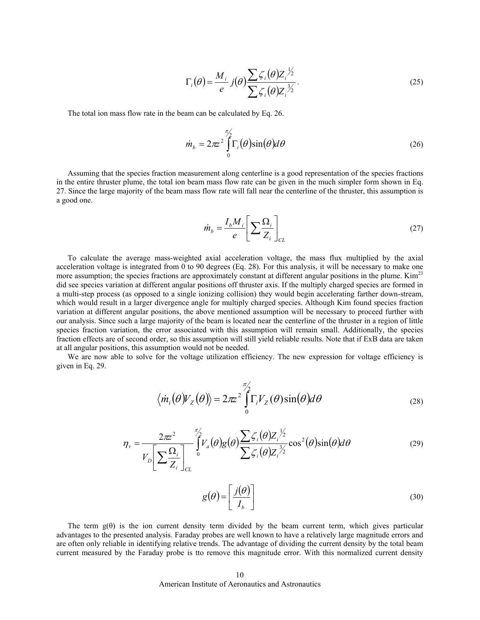$$
\Gamma_i(\theta) = \frac{M_i}{e} j(\theta) \frac{\sum \zeta_i(\theta) Z_i^{\frac{1}{2}}}{\sum \zeta_i(\theta) Z_i^{\frac{3}{2}}}.
$$
\n(25)

The total ion mass flow rate in the beam can be calculated by Eq. 26.

$$
\dot{m}_b = 2\pi z^2 \int_0^{\pi/2} \Gamma_i(\theta) \sin(\theta) d\theta \tag{26}
$$

Assuming that the species fraction measurement along centerline is a good representation of the species fractions in the entire thruster plume, the total ion beam mass flow rate can be given in the much simpler form shown in Eq. 27. Since the large majority of the beam mass flow rate will fall near the centerline of the thruster, this assumption is a good one.

$$
\dot{m}_b = \frac{I_b M_i}{e} \left[ \sum \frac{\Omega_i}{Z_i} \right]_{CL} \tag{27}
$$

To calculate the average mass-weighted axial acceleration voltage, the mass flux multiplied by the axial acceleration voltage is integrated from 0 to 90 degrees (Eq. 28). For this analysis, it will be necessary to make one more assumption; the species fractions are approximately constant at different angular positions in the plume. Kim<sup>23</sup> did see species variation at different angular positions off thruster axis. If the multiply charged species are formed in a multi-step process (as opposed to a single ionizing collision) they would begin accelerating farther down-stream, which would result in a larger divergence angle for multiply charged species. Although Kim found species fraction variation at different angular positions, the above mentioned assumption will be necessary to proceed further with our analysis. Since such a large majority of the beam is located near the centerline of the thruster in a region of little species fraction variation, the error associated with this assumption will remain small. Additionally, the species fraction effects are of second order, so this assumption will still yield reliable results. Note that if ExB data are taken at all angular positions, this assumption would not be needed.

We are now able to solve for the voltage utilization efficiency. The new expression for voltage efficiency is given in Eq. 29.

$$
\langle \dot{m}_i(\theta) V_z(\theta) \rangle = 2\pi z^2 \int_0^{\pi/2} \Gamma_i V_z(\theta) \sin(\theta) d\theta \tag{28}
$$

$$
\eta_{\nu} = \frac{2\pi z^2}{V_D \left[\sum \frac{\Omega_i}{Z_i}\right]_{CL}} \int_0^{\pi/2} V_a(\theta)g(\theta) \frac{\sum \zeta_i(\theta)Z_i^{\frac{1}{2}}}{\sum \zeta_i(\theta)Z_i^{\frac{3}{2}}} \cos^2(\theta)\sin(\theta)d\theta
$$
\n(29)  
\n
$$
g(\theta) = \left[\frac{j(\theta)}{I}\right]
$$
\n(30)

The term  $g(\theta)$  is the ion current density term divided by the beam current term, which gives particular advantages to the presented analysis. Faraday probes are well known to have a relatively large magnitude errors and are often only reliable in identifying relative trends. The advantage of dividing the current density by the total beam current measured by the Faraday probe is tto remove this magnitude error. With this normalized current density

*b I*

⎣

⎦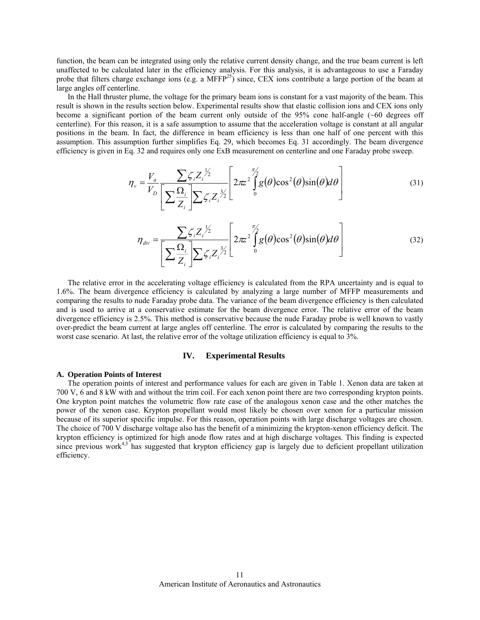function, the beam can be integrated using only the relative current density change, and the true beam current is left unaffected to be calculated later in the efficiency analysis. For this analysis, it is advantageous to use a Faraday probe that filters charge exchange ions (e.g. a MFFP<sup>25</sup>) since, CEX ions contribute a large portion of the beam at large angles off centerline.

In the Hall thruster plume, the voltage for the primary beam ions is constant for a vast majority of the beam. This result is shown in the results section below. Experimental results show that elastic collision ions and CEX ions only become a significant portion of the beam current only outside of the 95% cone half-angle (~60 degrees off centerline). For this reason, it is a safe assumption to assume that the acceleration voltage is constant at all angular positions in the beam. In fact, the difference in beam efficiency is less than one half of one percent with this assumption. This assumption further simplifies Eq. 29, which becomes Eq. 31 accordingly. The beam divergence efficiency is given in Eq. 32 and requires only one ExB measurement on centerline and one Faraday probe sweep.

$$
\eta_{\nu} = \frac{V_a}{V_D} \frac{\sum \zeta_i Z_i^{\frac{1}{2}}}{\left[\sum \frac{\Omega_i}{Z_i}\right] \sum \zeta_i Z_i^{\frac{3}{2}}}\left[2\pi z^2 \int_0^{\frac{\pi}{2}} g(\theta) \cos^2(\theta) \sin(\theta) d\theta\right]
$$
(31)

$$
\eta_{div} = \frac{\sum \zeta_i Z_i^{\frac{1}{2}}}{\left[\sum \frac{\Omega_i}{Z_i}\right] \sum \zeta_i Z_i^{\frac{3}{2}}}\left[2\pi z^2 \int_0^{\frac{\pi}{2}} g(\theta) \cos^2(\theta) \sin(\theta) d\theta\right]
$$
(32)

The relative error in the accelerating voltage efficiency is calculated from the RPA uncertainty and is equal to 1.6%. The beam divergence efficiency is calculated by analyzing a large number of MFFP measurements and comparing the results to nude Faraday probe data. The variance of the beam divergence efficiency is then calculated and is used to arrive at a conservative estimate for the beam divergence error. The relative error of the beam divergence efficiency is 2.5%. This method is conservative because the nude Faraday probe is well known to vastly over-predict the beam current at large angles off centerline. The error is calculated by comparing the results to the worst case scenario. At last, the relative error of the voltage utilization efficiency is equal to 3%.

# **IV. Experimental Results**

# **A. Operation Points of Interest**

The operation points of interest and performance values for each are given in Table 1. Xenon data are taken at 700 V, 6 and 8 kW with and without the trim coil. For each xenon point there are two corresponding krypton points. One krypton point matches the volumetric flow rate case of the analogous xenon case and the other matches the power of the xenon case. Krypton propellant would most likely be chosen over xenon for a particular mission because of its superior specific impulse. For this reason, operation points with large discharge voltages are chosen. The choice of 700 V discharge voltage also has the benefit of a minimizing the krypton-xenon efficiency deficit. The krypton efficiency is optimized for high anode flow rates and at high discharge voltages. This finding is expected since previous work<sup>4,5</sup> has suggested that krypton efficiency gap is largely due to deficient propellant utilization efficiency.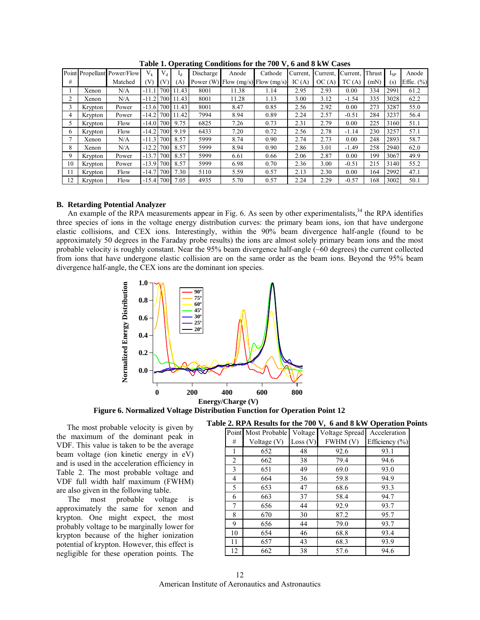|    | ъ.      |                             |         |       |                   |           |       |                                   |          |          |          |        |          |               |
|----|---------|-----------------------------|---------|-------|-------------------|-----------|-------|-----------------------------------|----------|----------|----------|--------|----------|---------------|
|    |         | Point Propellant Power/Flow | $V_{k}$ | $V_d$ | $L_d$             | Discharge | Anode | Cathode                           | Current, | Current. | Current. | Thrust | $I_{SP}$ | Anode         |
| #  |         | Matched                     | (V)     | W     | (A)               |           |       | Power (W) Flow (mg/s) Flow (mg/s) | IC $(A)$ | OC(A)    | TC(A)    | (mN)   | (s)      | Effic. $(\%)$ |
|    | Xenon   | N/A                         | $-11.1$ |       | 700 11.43         | 8001      | 11.38 | 1.14                              | 2.95     | 2.93     | 0.00     | 334    | 2991     | 61.2          |
|    | Xenon   | N/A                         | $-11.2$ |       | 700 11.43         | 8001      | 11.28 | 1.13                              | 3.00     | 3.12     | $-1.54$  | 335    | 3028     | 62.2          |
| 3  | Krypton | Power                       |         |       | $-13.6$ 700 11.43 | 8001      | 8.47  | 0.85                              | 2.56     | 2.92     | 0.00     | 273    | 3287     | 55.0          |
| 4  | Krypton | Power                       | $-14.2$ |       | 700 11.42         | 7994      | 8.94  | 0.89                              | 2.24     | 2.57     | $-0.51$  | 284    | 3237     | 56.4          |
|    | Krypton | Flow                        | $-14.0$ | 700   | 9.75              | 6825      | 7.26  | 0.73                              | 2.31     | 2.79     | 0.00     | 225    | 3160     | 51.1          |
| 6  | Krypton | Flow                        | $-14.2$ | 700   | 9.19              | 6433      | 7.20  | 0.72                              | 2.56     | 2.78     | $-1.14$  | 230    | 3257     | 57.1          |
|    | Xenon   | N/A                         | $-11.3$ | 700   | 8.57              | 5999      | 8.74  | 0.90                              | 2.74     | 2.73     | 0.00     | 248    | 2893     | 58.7          |
| 8  | Xenon   | N/A                         | $-12.2$ | 700   | 8.57              | 5999      | 8.94  | 0.90                              | 2.86     | 3.01     | $-1.49$  | 258    | 2940     | 62.0          |
| 9  | Krypton | Power                       | $-13.7$ | 700   | 8.57              | 5999      | 6.61  | 0.66                              | 2.06     | 2.87     | 0.00     | 199    | 3067     | 49.9          |
| 10 | Krypton | Power                       | $-13.9$ | 700   | 8.57              | 5999      | 6.98  | 0.70                              | 2.36     | 3.00     | $-0.51$  | 215    | 3140     | 55.2          |
|    | Krypton | Flow                        | $-14.7$ | 700   | 7.30              | 5110      | 5.59  | 0.57                              | 2.13     | 2.30     | 0.00     | 164    | 2992     | 47.1          |
| 12 | Krypton | Flow                        | $-15.4$ | 700   | 7.05              | 4935      | 5.70  | 0.57                              | 2.24     | 2.29     | $-0.57$  | 168    | 3002     | 50.1          |

**Table 1. Operating Conditions for the 700 V, 6 and 8 kW Cases** 

# **B. Retarding Potential Analyzer**

An example of the RPA measurements appear in Fig. 6. As seen by other experimentalists,  $34$  the RPA identifies three species of ions in the voltage energy distribution curves: the primary beam ions, ion that have undergone elastic collisions, and CEX ions. Interestingly, within the 90% beam divergence half-angle (found to be approximately 50 degrees in the Faraday probe results) the ions are almost solely primary beam ions and the most probable velocity is roughly constant. Near the 95% beam divergence half-angle (~60 degrees) the current collected from ions that have undergone elastic collision are on the same order as the beam ions. Beyond the 95% beam divergence half-angle, the CEX ions are the dominant ion species.



**Figure 6. Normalized Voltage Distribution Function for Operation Point 12**

The most probable velocity is given by **Table 2. RPA Results for the 700 V, 6 and 8 kW Operation Points**

the maximum of the dominant peak in VDF. This value is taken to be the average beam voltage (ion kinetic energy in eV) and is used in the acceleration efficiency in Table 2. The most probable voltage and VDF full width half maximum (FWHM) are also given in the following table.

The most probable voltage is approximately the same for xenon and krypton. One might expect, the most probably voltage to be marginally lower for krypton because of the higher ionization potential of krypton. However, this effect is negligible for these operation points. The

|    |                             |          | It 2. Ke A Kysuns for the <i>foo</i> $\mathbf{v}_3$ o and $\sigma$ K $\mathbf{v}_7$ Operation F |                |
|----|-----------------------------|----------|-------------------------------------------------------------------------------------------------|----------------|
|    | Point Most Probable Voltage |          | Voltage Spread Acceleration                                                                     |                |
| #  | Voltage (V)                 | Loss (V) | FWHM (V)                                                                                        | Efficiency (%) |
|    | 652                         | 48       | 92.6                                                                                            | 93.1           |
| 2  | 662                         | 38       | 79.4                                                                                            | 94.6           |
| 3  | 651                         | 49       | 69.0                                                                                            | 93.0           |
| 4  | 664                         | 36       | 59.8                                                                                            | 94.9           |
| 5  | 653                         | 47       | 68.6                                                                                            | 93.3           |
| 6  | 663                         | 37       | 58.4                                                                                            | 94.7           |
| 7  | 656                         | 44       | 92.9                                                                                            | 93.7           |
| 8  | 670                         | 30       | 87.2                                                                                            | 95.7           |
| 9  | 656                         | 44       | 79.0                                                                                            | 93.7           |
| 10 | 654                         | 46       | 68.8                                                                                            | 93.4           |
| 11 | 657                         | 43       | 68.3                                                                                            | 93.9           |
| 12 | 662                         | 38       | 57.6                                                                                            | 94.6           |
|    |                             |          |                                                                                                 |                |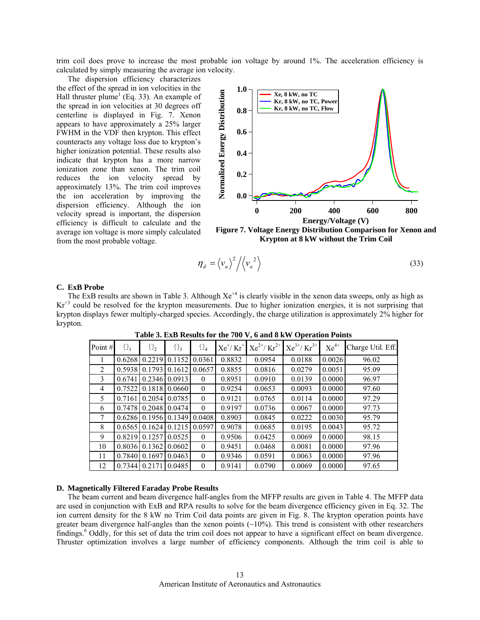trim coil does prove to increase the most probable ion voltage by around 1%. The acceleration efficiency is calculated by simply measuring the average ion velocity.

The dispersion efficiency characterizes the effect of the spread in ion velocities in the Hall thruster plume<sup>1</sup> (Eq. 33). An example of the spread in ion velocities at 30 degrees off centerline is displayed in Fig. 7. Xenon appears to have approximately a 25% larger FWHM in the VDF then krypton. This effect counteracts any voltage loss due to krypton's higher ionization potential. These results also indicate that krypton has a more narrow ionization zone than xenon. The trim coil reduces the ion velocity spread by approximately 13%. The trim coil improves the ion acceleration by improving the dispersion efficiency. Although the ion velocity spread is important, the dispersion efficiency is difficult to calculate and the average ion voltage is more simply calculated from the most probable voltage.



**Figure 7. Voltage Energy Distribution Comparison for Xenon and Krypton at 8 kW without the Trim Coil**

$$
\eta_d = \langle v_a \rangle^2 / \langle v_a^2 \rangle \tag{33}
$$

#### **C. ExB Probe**

The ExB results are shown in Table 3. Although  $Xe^{+4}$  is clearly visible in the xenon data sweeps, only as high as  $Kr<sup>+3</sup>$  could be resolved for the krypton measurements. Due to higher ionization energies, it is not surprising that krypton displays fewer multiply-charged species. Accordingly, the charge utilization is approximately 2% higher for krypton.

|                |            |                                     |                 | THEIR COMMONS TO THE TOO TO MIND INTERVIEW THAT THE CHING |                             |                   |                     |           |                   |
|----------------|------------|-------------------------------------|-----------------|-----------------------------------------------------------|-----------------------------|-------------------|---------------------|-----------|-------------------|
| Point #        | $\Omega_1$ | $\Omega_2$                          | $\Omega_3$      | $\Omega_4$                                                | $Xe^{\dagger}/Kr^{\dagger}$ | $Xe^{2+}/Kr^{2+}$ | $Xe^{3+} / Kr^{3+}$ | $Xe^{4+}$ | Charge Util. Eff. |
| 1              | 0.6268     | 0.2219                              | 0.1152          | 0.0361                                                    | 0.8832                      | 0.0954            | 0.0188              | 0.0026    | 96.02             |
| 2              |            | $0.5938 \mid 0.1793 \mid$           | 0.1612          | 0.0657                                                    | 0.8855                      | 0.0816            | 0.0279              | 0.0051    | 95.09             |
| 3              | 0.6741     |                                     | $0.2346$ 0.0913 | $\theta$                                                  | 0.8951                      | 0.0910            | 0.0139              | 0.0000    | 96.97             |
| $\overline{4}$ |            | $0.7522$   0.1818   0.0660          |                 | $\theta$                                                  | 0.9254                      | 0.0653            | 0.0093              | 0.0000    | 97.60             |
| 5              | 0.7161     |                                     | $0.2054$ 0.0785 | $\theta$                                                  | 0.9121                      | 0.0765            | 0.0114              | 0.0000    | 97.29             |
| 6              |            | $0.7478$   0.2048   0.0474          |                 | $\theta$                                                  | 0.9197                      | 0.0736            | 0.0067              | 0.0000    | 97.73             |
| 7              |            | $0.6286$   0.1956   0.1349   0.0408 |                 |                                                           | 0.8903                      | 0.0845            | 0.0222              | 0.0030    | 95.79             |
| 8              |            | $0.6565$   $0.1624$   $0.1215$      |                 | 0.0597                                                    | 0.9078                      | 0.0685            | 0.0195              | 0.0043    | 95.72             |
| 9              |            | $0.8219$   0.1257   0.0525          |                 | $\Omega$                                                  | 0.9506                      | 0.0425            | 0.0069              | 0.0000    | 98.15             |
| 10             |            | $0.8036$   0.1362   0.0602          |                 | $\theta$                                                  | 0.9451                      | 0.0468            | 0.0081              | 0.0000    | 97.96             |
| 11             |            | $0.7840$   $0.1697$   $0.0463$      |                 | $\theta$                                                  | 0.9346                      | 0.0591            | 0.0063              | 0.0000    | 97.96             |
| 12             |            | $0.7344$   $0.2171$                 | 0.0485          | $\theta$                                                  | 0.9141                      | 0.0790            | 0.0069              | 0.0000    | 97.65             |

**Table 3. ExB Results for the 700 V, 6 and 8 kW Operation Points** 

## **D. Magnetically Filtered Faraday Probe Results**

The beam current and beam divergence half-angles from the MFFP results are given in Table 4. The MFFP data are used in conjunction with ExB and RPA results to solve for the beam divergence efficiency given in Eq. 32. The ion current density for the 8 kW no Trim Coil data points are given in Fig. 8. The krypton operation points have greater beam divergence half-angles than the xenon points  $(\sim 10\%)$ . This trend is consistent with other researchers findings.<sup>6</sup> Oddly, for this set of data the trim coil does not appear to have a significant effect on beam divergence. Thruster optimization involves a large number of efficiency components. Although the trim coil is able to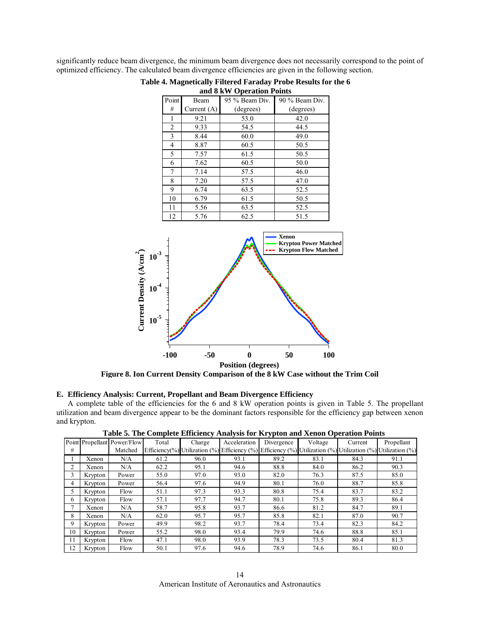significantly reduce beam divergence, the minimum beam divergence does not necessarily correspond to the point of optimized efficiency. The calculated beam divergence efficiencies are given in the following section.

| and 8 kW Operation Points |               |                |                |  |  |  |  |  |  |
|---------------------------|---------------|----------------|----------------|--|--|--|--|--|--|
| Point                     | Beam          | 95 % Beam Div. | 90 % Beam Div. |  |  |  |  |  |  |
| #                         | Current $(A)$ | (degrees)      | (degrees)      |  |  |  |  |  |  |
|                           | 9.21          | 53.0           | 42.0           |  |  |  |  |  |  |
| $\overline{c}$            | 9.33          | 54.5           | 44.5           |  |  |  |  |  |  |
| 3                         | 8.44          | 60.0           | 49.0<br>50.5   |  |  |  |  |  |  |
| 4                         | 8.87          | 60.5           |                |  |  |  |  |  |  |
| 5                         | 7.57          | 61.5           | 50.5           |  |  |  |  |  |  |
| 6                         | 7.62          | 60.5           | 50.0<br>46.0   |  |  |  |  |  |  |
| 7                         | 7.14          | 57.5           |                |  |  |  |  |  |  |
| 8                         | 7.20          | 57.5           | 47.0           |  |  |  |  |  |  |
| 9                         | 6.74          | 63.5           | 52.5           |  |  |  |  |  |  |
| 10                        | 6.79          | 61.5           | 50.5           |  |  |  |  |  |  |
| 11                        | 5.56          | 63.5           | 52.5           |  |  |  |  |  |  |
| 12                        | 5.76          | 62.5           | 51.5           |  |  |  |  |  |  |

**Table 4. Magnetically Filtered Faraday Probe Results for the 6** 



**Figure 8. Ion Current Density Comparison of the 8 kW Case without the Trim Coil** 

# **E. Efficiency Analysis: Current, Propellant and Beam Divergence Efficiency**

A complete table of the efficiencies for the 6 and 8 kW operation points is given in Table 5. The propellant utilization and beam divergence appear to be the dominant factors responsible for the efficiency gap between xenon and krypton.

**Table 5. The Complete Efficiency Analysis for Krypton and Xenon Operation Points** 

|    | Table of The Complete Emercity Analysis for Txrypton and Action Operation I only |                             |       |        |              |            |         |                                                                                                             |            |  |
|----|----------------------------------------------------------------------------------|-----------------------------|-------|--------|--------------|------------|---------|-------------------------------------------------------------------------------------------------------------|------------|--|
|    |                                                                                  | Point Propellant Power/Flow | Total | Charge | Acceleration | Divergence | Voltage | Current                                                                                                     | Propellant |  |
| #  |                                                                                  | Matched                     |       |        |              |            |         | Efficiency(%) Utilization (%) Efficiency (%) Efficiency (%) Utilization (%) Utilization (%) Utilization (%) |            |  |
|    | Xenon                                                                            | N/A                         | 61.2  | 96.0   | 93.1         | 89.2       | 83.1    | 84.3                                                                                                        | 91.1       |  |
| 2  | Xenon                                                                            | N/A                         | 62.2  | 95.1   | 94.6         | 88.8       | 84.0    | 86.2                                                                                                        | 90.3       |  |
| 3  | Krypton                                                                          | Power                       | 55.0  | 97.0   | 93.0         | 82.0       | 76.3    | 87.5                                                                                                        | 85.0       |  |
| 4  | Krypton                                                                          | Power                       | 56.4  | 97.6   | 94.9         | 80.1       | 76.0    | 88.7                                                                                                        | 85.8       |  |
| 5  | Krypton                                                                          | Flow                        | 51.1  | 97.3   | 93.3         | 80.8       | 75.4    | 83.7                                                                                                        | 83.2       |  |
| 6  | Krypton                                                                          | Flow                        | 57.1  | 97.7   | 94.7         | 80.1       | 75.8    | 89.3                                                                                                        | 86.4       |  |
| 7  | Xenon                                                                            | N/A                         | 58.7  | 95.8   | 93.7         | 86.6       | 81.2    | 84.7                                                                                                        | 89.1       |  |
| 8  | Xenon                                                                            | N/A                         | 62.0  | 95.7   | 95.7         | 85.8       | 82.1    | 87.0                                                                                                        | 90.7       |  |
| 9  | Krypton                                                                          | Power                       | 49.9  | 98.2   | 93.7         | 78.4       | 73.4    | 82.3                                                                                                        | 84.2       |  |
| 10 | Krypton                                                                          | Power                       | 55.2  | 98.0   | 93.4         | 79.9       | 74.6    | 88.8                                                                                                        | 85.1       |  |
| 11 | Krypton                                                                          | Flow                        | 47.1  | 98.0   | 93.9         | 78.3       | 73.5    | 80.4                                                                                                        | 81.3       |  |
| 12 | Krypton                                                                          | Flow                        | 50.1  | 97.6   | 94.6         | 78.9       | 74.6    | 86.1                                                                                                        | 80.0       |  |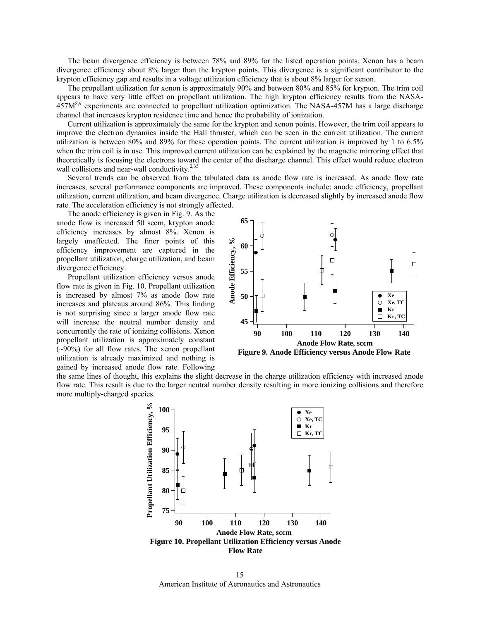The beam divergence efficiency is between 78% and 89% for the listed operation points. Xenon has a beam divergence efficiency about 8% larger than the krypton points. This divergence is a significant contributor to the krypton efficiency gap and results in a voltage utilization efficiency that is about 8% larger for xenon.

The propellant utilization for xenon is approximately 90% and between 80% and 85% for krypton. The trim coil appears to have very little effect on propellant utilization. The high krypton efficiency results from the NASA-457M<sup>8,9</sup> experiments are connected to propellant utilization optimization. The NASA-457M has a large discharge channel that increases krypton residence time and hence the probability of ionization.

Current utilization is approximately the same for the krypton and xenon points. However, the trim coil appears to improve the electron dynamics inside the Hall thruster, which can be seen in the current utilization. The current utilization is between 80% and 89% for these operation points. The current utilization is improved by 1 to 6.5% when the trim coil is in use. This improved current utilization can be explained by the magnetic mirroring effect that theoretically is focusing the electrons toward the center of the discharge channel. This effect would reduce electron wall collisions and near-wall conductivity.<sup>2,35</sup>

Several trends can be observed from the tabulated data as anode flow rate is increased. As anode flow rate increases, several performance components are improved. These components include: anode efficiency, propellant utilization, current utilization, and beam divergence. Charge utilization is decreased slightly by increased anode flow rate. The acceleration efficiency is not strongly affected.

The anode efficiency is given in Fig. 9. As the anode flow is increased 50 sccm, krypton anode efficiency increases by almost 8%. Xenon is largely unaffected. The finer points of this efficiency improvement are captured in the propellant utilization, charge utilization, and beam divergence efficiency.

Propellant utilization efficiency versus anode flow rate is given in Fig. 10. Propellant utilization is increased by almost 7% as anode flow rate increases and plateaus around 86%. This finding is not surprising since a larger anode flow rate will increase the neutral number density and concurrently the rate of ionizing collisions. Xenon propellant utilization is approximately constant (~90%) for all flow rates. The xenon propellant utilization is already maximized and nothing is gained by increased anode flow rate. Following



**Figure 9. Anode Efficiency versus Anode Flow Rate** 

the same lines of thought, this explains the slight decrease in the charge utilization efficiency with increased anode flow rate. This result is due to the larger neutral number density resulting in more ionizing collisions and therefore more multiply-charged species.



American Institute of Aeronautics and Astronautics 15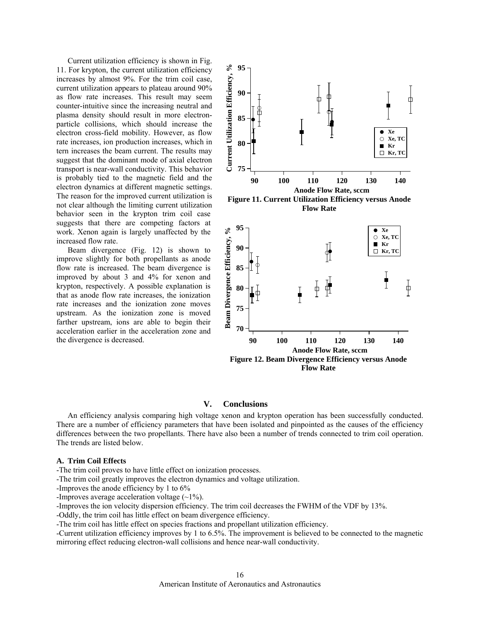Current utilization efficiency is shown in Fig. 11. For krypton, the current utilization efficiency increases by almost 9%. For the trim coil case, current utilization appears to plateau around 90% as flow rate increases. This result may seem counter-intuitive since the increasing neutral and plasma density should result in more electronparticle collisions, which should increase the electron cross-field mobility. However, as flow rate increases, ion production increases, which in tern increases the beam current. The results may suggest that the dominant mode of axial electron transport is near-wall conductivity. This behavior is probably tied to the magnetic field and the electron dynamics at different magnetic settings. The reason for the improved current utilization is not clear although the limiting current utilization behavior seen in the krypton trim coil case suggests that there are competing factors at work. Xenon again is largely unaffected by the increased flow rate.

Beam divergence (Fig. 12) is shown to improve slightly for both propellants as anode flow rate is increased. The beam divergence is improved by about 3 and 4% for xenon and krypton, respectively. A possible explanation is that as anode flow rate increases, the ionization rate increases and the ionization zone moves upstream. As the ionization zone is moved farther upstream, ions are able to begin their acceleration earlier in the acceleration zone and the divergence is decreased.





# **V. Conclusions**

An efficiency analysis comparing high voltage xenon and krypton operation has been successfully conducted. There are a number of efficiency parameters that have been isolated and pinpointed as the causes of the efficiency differences between the two propellants. There have also been a number of trends connected to trim coil operation. The trends are listed below.

# **A. Trim Coil Effects**

-The trim coil proves to have little effect on ionization processes.

-The trim coil greatly improves the electron dynamics and voltage utilization.

-Improves the anode efficiency by 1 to 6%

-Improves average acceleration voltage  $(\sim 1\%)$ .

-Improves the ion velocity dispersion efficiency. The trim coil decreases the FWHM of the VDF by 13%.

-Oddly, the trim coil has little effect on beam divergence efficiency.

-The trim coil has little effect on species fractions and propellant utilization efficiency.

-Current utilization efficiency improves by 1 to 6.5%. The improvement is believed to be connected to the magnetic mirroring effect reducing electron-wall collisions and hence near-wall conductivity.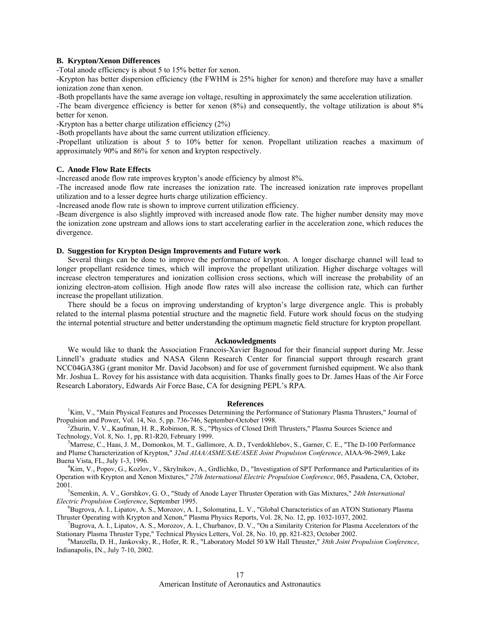# **B. Krypton/Xenon Differences**

-Total anode efficiency is about 5 to 15% better for xenon.

-Krypton has better dispersion efficiency (the FWHM is 25% higher for xenon) and therefore may have a smaller ionization zone than xenon.

-Both propellants have the same average ion voltage, resulting in approximately the same acceleration utilization.

-The beam divergence efficiency is better for xenon (8%) and consequently, the voltage utilization is about 8% better for xenon.

-Krypton has a better charge utilization efficiency (2%)

-Both propellants have about the same current utilization efficiency.

-Propellant utilization is about 5 to 10% better for xenon. Propellant utilization reaches a maximum of approximately 90% and 86% for xenon and krypton respectively.

# **C. Anode Flow Rate Effects**

-Increased anode flow rate improves krypton's anode efficiency by almost 8%.

-The increased anode flow rate increases the ionization rate. The increased ionization rate improves propellant utilization and to a lesser degree hurts charge utilization efficiency.

-Increased anode flow rate is shown to improve current utilization efficiency.

-Beam divergence is also slightly improved with increased anode flow rate. The higher number density may move the ionization zone upstream and allows ions to start accelerating earlier in the acceleration zone, which reduces the divergence.

## **D. Suggestion for Krypton Design Improvements and Future work**

Several things can be done to improve the performance of krypton. A longer discharge channel will lead to longer propellant residence times, which will improve the propellant utilization. Higher discharge voltages will increase electron temperatures and ionization collision cross sections, which will increase the probability of an ionizing electron-atom collision. High anode flow rates will also increase the collision rate, which can further increase the propellant utilization.

There should be a focus on improving understanding of krypton's large divergence angle. This is probably related to the internal plasma potential structure and the magnetic field. Future work should focus on the studying the internal potential structure and better understanding the optimum magnetic field structure for krypton propellant.

#### **Acknowledgments**

We would like to thank the Association Francois-Xavier Bagnoud for their financial support during Mr. Jesse Linnell's graduate studies and NASA Glenn Research Center for financial support through research grant NCC04GA38G (grant monitor Mr. David Jacobson) and for use of government furnished equipment. We also thank Mr. Joshua L. Rovey for his assistance with data acquisition. Thanks finally goes to Dr. James Haas of the Air Force Research Laboratory, Edwards Air Force Base, CA for designing PEPL's RPA.

<sup>1</sup>Kim, V., "Main Physical Features and Processes Determining the Performance of Stationary Plasma Thrusters," Journal of Propulsion and Power, Vol. 14, No. 5, pp. 736-746, September-October 1998. 2

Zhurin, V. V., Kaufman, H. R., Robinson, R. S., "Physics of Closed Drift Thrusters," Plasma Sources Science and Technology, Vol. 8, No. 1, pp. R1-R20, February 1999. 3

Marrese, C., Haas, J. M., Domonkos, M. T., Gallimore, A. D., Tverdokhlebov, S., Garner, C. E., "The D-100 Performance and Plume Characterization of Krypton," *32nd AIAA/ASME/SAE/ASEE Joint Propulsion Conference*, AIAA-96-2969, Lake Buena Vista, FL, July 1-3, 1996. 4

<sup>4</sup>Kim, V., Popov, G., Kozlov, V., Skrylnikov, A., Grdlichko, D., "Investigation of SPT Performance and Particularities of its Operation with Krypton and Xenon Mixtures," *27th International Electric Propulsion Conference*, 065, Pasadena, CA, October, 2001. 5

Semenkin, A. V., Gorshkov, G. O., "Study of Anode Layer Thruster Operation with Gas Mixtures," *24th International Electric Propulsion Conference*, September 1995.

<sup>6</sup>Bugrova, A. I., Lipatov, A. S., Morozov, A. I., Solomatina, L. V., "Global Characteristics of an ATON Stationary Plasma Thruster Operating with Krypton and Xenon," Plasma Physics Reports, Vol. 28, No. 12, pp. 1032-1037, 2002. 7

Bugrova, A. I., Lipatov, A. S., Morozov, A. I., Churbanov, D. V., "On a Similarity Criterion for Plasma Accelerators of the Stationary Plasma Thruster Type," Technical Physics Letters, Vol. 28, No. 10, pp. 821-823, October 2002.

Manzella, D. H., Jankovsky, R., Hofer, R. R., "Laboratory Model 50 kW Hall Thruster," *38th Joint Propulsion Conference*, Indianapolis, IN., July 7-10, 2002.